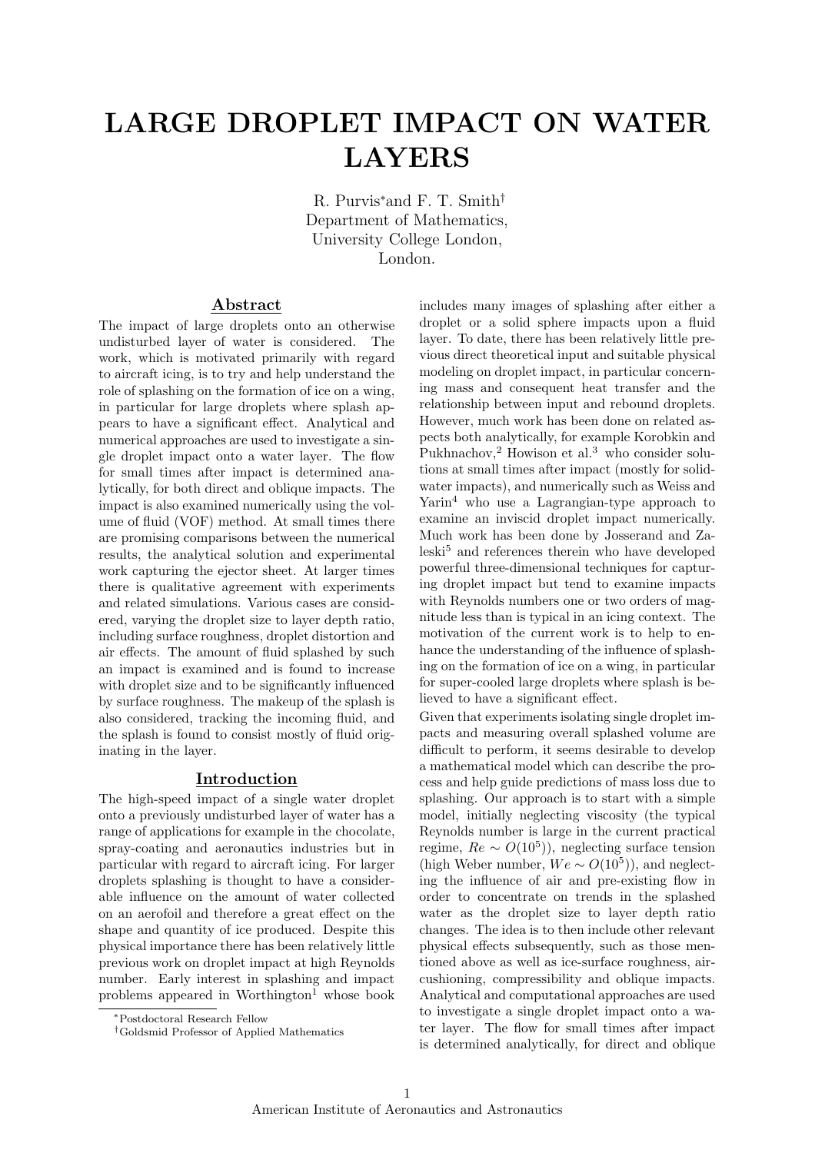# **LARGE DROPLET IMPACT ON WATER LAYERS**

R. Purvis<sup>∗</sup> and F. T. Smith† Department of Mathematics, University College London, London.

# **Abstract**

The impact of large droplets onto an otherwise undisturbed layer of water is considered. The work, which is motivated primarily with regard to aircraft icing, is to try and help understand the role of splashing on the formation of ice on a wing, in particular for large droplets where splash appears to have a significant effect. Analytical and numerical approaches are used to investigate a single droplet impact onto a water layer. The flow for small times after impact is determined analytically, for both direct and oblique impacts. The impact is also examined numerically using the volume of fluid (VOF) method. At small times there are promising comparisons between the numerical results, the analytical solution and experimental work capturing the ejector sheet. At larger times there is qualitative agreement with experiments and related simulations. Various cases are considered, varying the droplet size to layer depth ratio, including surface roughness, droplet distortion and air effects. The amount of fluid splashed by such an impact is examined and is found to increase with droplet size and to be significantly influenced by surface roughness. The makeup of the splash is also considered, tracking the incoming fluid, and the splash is found to consist mostly of fluid originating in the layer.

# **Introduction**

The high-speed impact of a single water droplet onto a previously undisturbed layer of water has a range of applications for example in the chocolate, spray-coating and aeronautics industries but in particular with regard to aircraft icing. For larger droplets splashing is thought to have a considerable influence on the amount of water collected on an aerofoil and therefore a great effect on the shape and quantity of ice produced. Despite this physical importance there has been relatively little previous work on droplet impact at high Reynolds number. Early interest in splashing and impact problems appeared in Worthington<sup>1</sup> whose book

includes many images of splashing after either a droplet or a solid sphere impacts upon a fluid layer. To date, there has been relatively little previous direct theoretical input and suitable physical modeling on droplet impact, in particular concerning mass and consequent heat transfer and the relationship between input and rebound droplets. However, much work has been done on related aspects both analytically, for example Korobkin and Pukhnachov,<sup>2</sup> Howison et al.<sup>3</sup> who consider solutions at small times after impact (mostly for solidwater impacts), and numerically such as Weiss and Yarin<sup>4</sup> who use a Lagrangian-type approach to examine an inviscid droplet impact numerically. Much work has been done by Josserand and Zaleski<sup>5</sup> and references therein who have developed powerful three-dimensional techniques for capturing droplet impact but tend to examine impacts with Reynolds numbers one or two orders of magnitude less than is typical in an icing context. The motivation of the current work is to help to enhance the understanding of the influence of splashing on the formation of ice on a wing, in particular for super-cooled large droplets where splash is believed to have a significant effect.

Given that experiments isolating single droplet impacts and measuring overall splashed volume are difficult to perform, it seems desirable to develop a mathematical model which can describe the process and help guide predictions of mass loss due to splashing. Our approach is to start with a simple model, initially neglecting viscosity (the typical Reynolds number is large in the current practical regime,  $Re \sim O(10^5)$ , neglecting surface tension (high Weber number,  $We \sim O(10^5)$ ), and neglecting the influence of air and pre-existing flow in order to concentrate on trends in the splashed water as the droplet size to layer depth ratio changes. The idea is to then include other relevant physical effects subsequently, such as those mentioned above as well as ice-surface roughness, aircushioning, compressibility and oblique impacts. Analytical and computational approaches are used to investigate a single droplet impact onto a water layer. The flow for small times after impact is determined analytically, for direct and oblique

<sup>∗</sup>Postdoctoral Research Fellow

<sup>†</sup>Goldsmid Professor of Applied Mathematics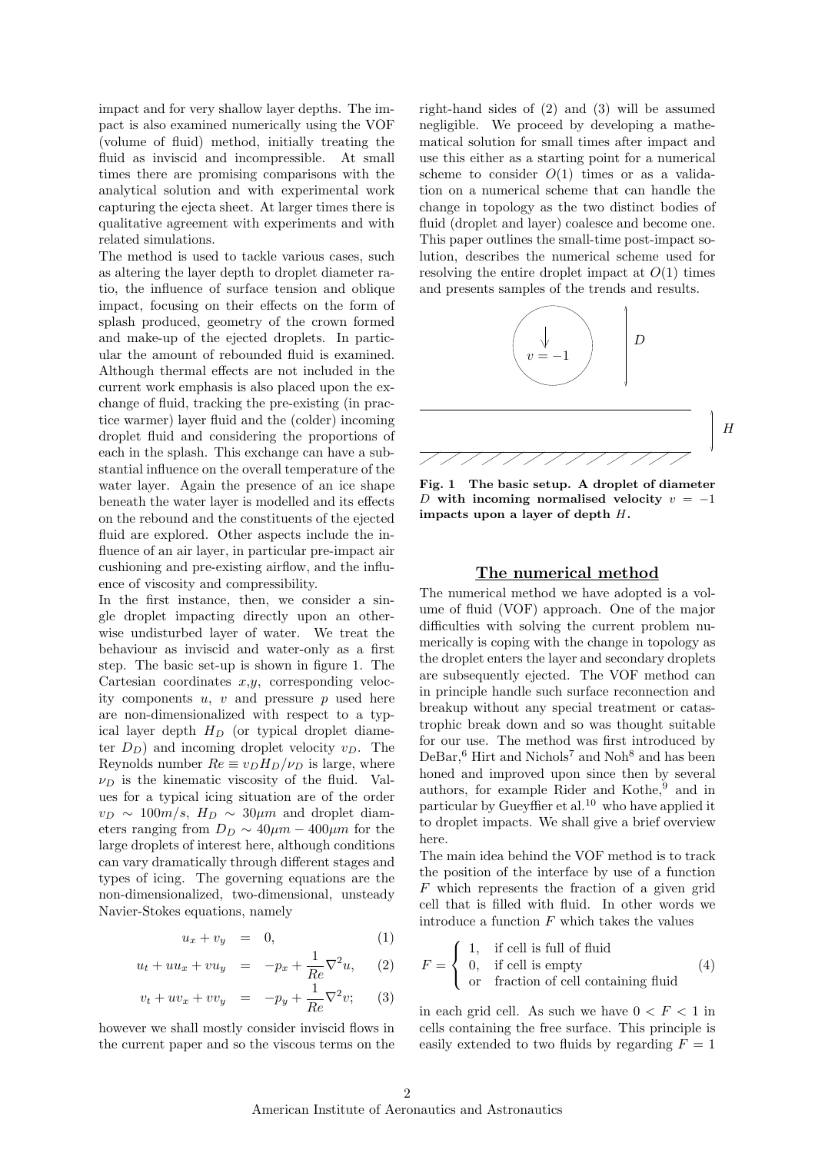impact and for very shallow layer depths. The impact is also examined numerically using the VOF (volume of fluid) method, initially treating the fluid as inviscid and incompressible. At small times there are promising comparisons with the analytical solution and with experimental work capturing the ejecta sheet. At larger times there is qualitative agreement with experiments and with related simulations.

The method is used to tackle various cases, such as altering the layer depth to droplet diameter ratio, the influence of surface tension and oblique impact, focusing on their effects on the form of splash produced, geometry of the crown formed and make-up of the ejected droplets. In particular the amount of rebounded fluid is examined. Although thermal effects are not included in the current work emphasis is also placed upon the exchange of fluid, tracking the pre-existing (in practice warmer) layer fluid and the (colder) incoming droplet fluid and considering the proportions of each in the splash. This exchange can have a substantial influence on the overall temperature of the water layer. Again the presence of an ice shape beneath the water layer is modelled and its effects on the rebound and the constituents of the ejected fluid are explored. Other aspects include the influence of an air layer, in particular pre-impact air cushioning and pre-existing airflow, and the influence of viscosity and compressibility.

In the first instance, then, we consider a single droplet impacting directly upon an otherwise undisturbed layer of water. We treat the behaviour as inviscid and water-only as a first step. The basic set-up is shown in figure 1. The Cartesian coordinates  $x,y$ , corresponding velocity components  $u, v$  and pressure  $p$  used here are non-dimensionalized with respect to a typical layer depth  $H_D$  (or typical droplet diameter  $D_D$ ) and incoming droplet velocity  $v_D$ . The Reynolds number  $Re \equiv v_D H_D/\nu_D$  is large, where  $\nu_D$  is the kinematic viscosity of the fluid. Values for a typical icing situation are of the order  $v_D \sim 100m/s$ ,  $H_D \sim 30 \mu m$  and droplet diameters ranging from  $D_D \sim 40 \mu m - 400 \mu m$  for the large droplets of interest here, although conditions can vary dramatically through different stages and types of icing. The governing equations are the non-dimensionalized, two-dimensional, unsteady Navier-Stokes equations, namely

$$
u_x + v_y = 0, \tag{1}
$$

$$
u_t + uu_x + vu_y = -p_x + \frac{1}{Re}\nabla^2 u,\qquad(2)
$$

$$
v_t + uv_x + vv_y = -p_y + \frac{1}{Re}\nabla^2 v; \qquad (3)
$$

however we shall mostly consider inviscid flows in the current paper and so the viscous terms on the right-hand sides of (2) and (3) will be assumed negligible. We proceed by developing a mathematical solution for small times after impact and use this either as a starting point for a numerical scheme to consider  $O(1)$  times or as a validation on a numerical scheme that can handle the change in topology as the two distinct bodies of fluid (droplet and layer) coalesce and become one. This paper outlines the small-time post-impact solution, describes the numerical scheme used for resolving the entire droplet impact at  $O(1)$  times and presents samples of the trends and results.





**Fig. 1 The basic setup. A droplet of diameter** D with incoming normalised velocity  $v = -1$ **impacts upon a layer of depth** H**.**

## **The numerical method**

The numerical method we have adopted is a volume of fluid (VOF) approach. One of the major difficulties with solving the current problem numerically is coping with the change in topology as the droplet enters the layer and secondary droplets are subsequently ejected. The VOF method can in principle handle such surface reconnection and breakup without any special treatment or catastrophic break down and so was thought suitable for our use. The method was first introduced by  $DeBar^{6}$  Hirt and Nichols<sup>7</sup> and Noh<sup>8</sup> and has been honed and improved upon since then by several authors, for example Rider and Kothe, $9$  and in particular by Gueyffier et al.<sup>10</sup> who have applied it to droplet impacts. We shall give a brief overview here.

The main idea behind the VOF method is to track the position of the interface by use of a function F which represents the fraction of a given grid cell that is filled with fluid. In other words we introduce a function  $F$  which takes the values

$$
F = \begin{cases} 1, & \text{if cell is full of fluid} \\ 0, & \text{if cell is empty} \\ \text{or fraction of cell containing fluid} \end{cases}
$$
 (4)

in each grid cell. As such we have  $0 < F < 1$  in cells containing the free surface. This principle is easily extended to two fluids by regarding  $F = 1$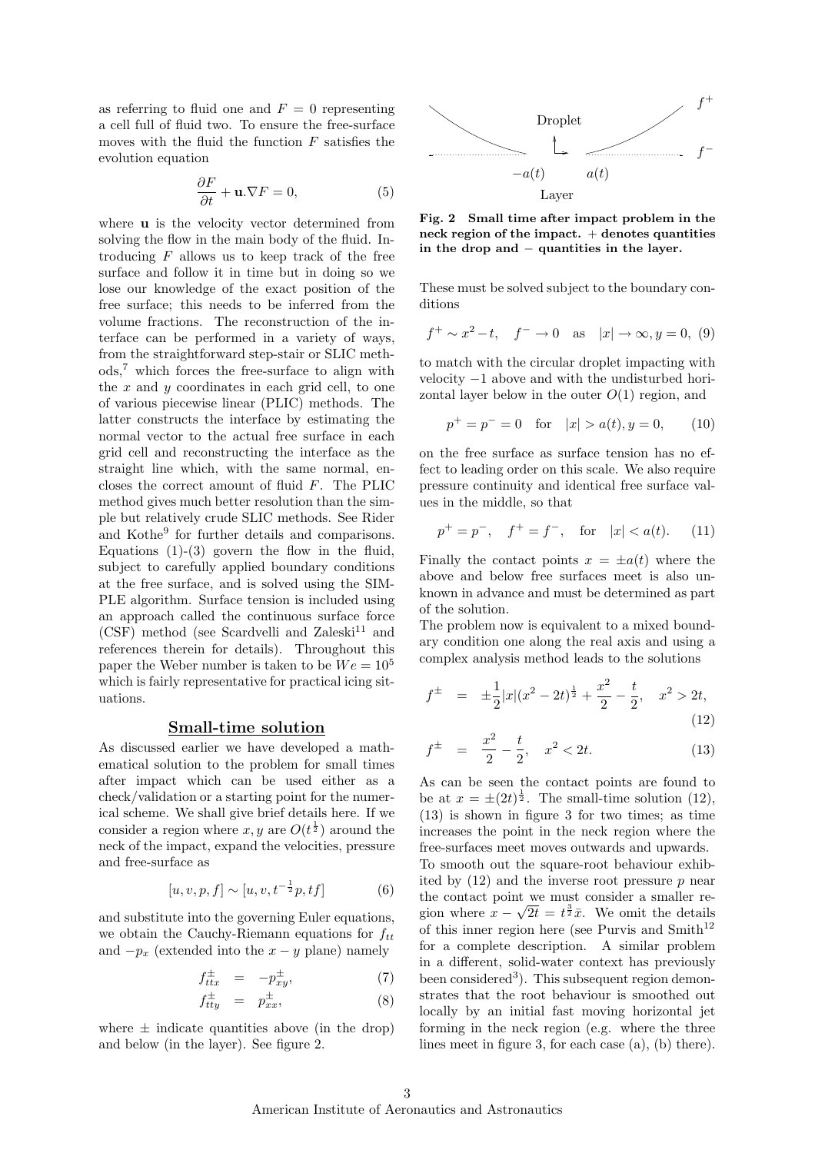as referring to fluid one and  $F = 0$  representing a cell full of fluid two. To ensure the free-surface moves with the fluid the function  $F$  satisfies the evolution equation

$$
\frac{\partial F}{\partial t} + \mathbf{u}.\nabla F = 0,\tag{5}
$$

where **u** is the velocity vector determined from solving the flow in the main body of the fluid. Introducing  $F$  allows us to keep track of the free surface and follow it in time but in doing so we lose our knowledge of the exact position of the free surface; this needs to be inferred from the volume fractions. The reconstruction of the interface can be performed in a variety of ways, from the straightforward step-stair or SLIC methods,<sup>7</sup> which forces the free-surface to align with the  $x$  and  $y$  coordinates in each grid cell, to one of various piecewise linear (PLIC) methods. The latter constructs the interface by estimating the normal vector to the actual free surface in each grid cell and reconstructing the interface as the straight line which, with the same normal, encloses the correct amount of fluid F. The PLIC method gives much better resolution than the simple but relatively crude SLIC methods. See Rider and Kothe<sup>9</sup> for further details and comparisons. Equations  $(1)-(3)$  govern the flow in the fluid, subject to carefully applied boundary conditions at the free surface, and is solved using the SIM-PLE algorithm. Surface tension is included using an approach called the continuous surface force  $(CSF)$  method (see Scardvelli and Zaleski<sup>11</sup> and references therein for details). Throughout this paper the Weber number is taken to be  $We = 10^5$ which is fairly representative for practical icing situations.

### **Small-time solution**

As discussed earlier we have developed a mathematical solution to the problem for small times after impact which can be used either as a check/validation or a starting point for the numerical scheme. We shall give brief details here. If we consider a region where  $x, y$  are  $O(t^{\frac{1}{2}})$  around the neck of the impact, expand the velocities, pressure and free-surface as

$$
[u, v, p, f] \sim [u, v, t^{-\frac{1}{2}}p, tf]
$$
 (6)

and substitute into the governing Euler equations, we obtain the Cauchy-Riemann equations for  $f_{tt}$ and  $-p_x$  (extended into the  $x - y$  plane) namely

$$
f_{ttx}^{\pm} = -p_{xy}^{\pm}, \tag{7}
$$

$$
f_{tty}^{\pm} = p_{xx}^{\pm}, \tag{8}
$$

where  $\pm$  indicate quantities above (in the drop) and below (in the layer). See figure 2.



**Fig. 2 Small time after impact problem in the neck region of the impact.** + **denotes quantities in the drop and** − **quantities in the layer.**

These must be solved subject to the boundary conditions

$$
f^+ \sim x^2 - t
$$
,  $f^- \to 0$  as  $|x| \to \infty$ ,  $y = 0$ , (9)

to match with the circular droplet impacting with velocity −1 above and with the undisturbed horizontal layer below in the outer  $O(1)$  region, and

$$
p^{+} = p^{-} = 0 \quad \text{for} \quad |x| > a(t), y = 0, \tag{10}
$$

on the free surface as surface tension has no effect to leading order on this scale. We also require pressure continuity and identical free surface values in the middle, so that

$$
p^{+} = p^{-}, \quad f^{+} = f^{-}, \quad \text{for} \quad |x| < a(t). \tag{11}
$$

Finally the contact points  $x = \pm a(t)$  where the above and below free surfaces meet is also unknown in advance and must be determined as part of the solution.

The problem now is equivalent to a mixed boundary condition one along the real axis and using a complex analysis method leads to the solutions

$$
f^{\pm} = \pm \frac{1}{2}|x|(x^2 - 2t)^{\frac{1}{2}} + \frac{x^2}{2} - \frac{t}{2}, \quad x^2 > 2t,
$$
\n(12)

$$
f^{\pm} = \frac{x^2}{2} - \frac{t}{2}, \quad x^2 < 2t. \tag{13}
$$

As can be seen the contact points are found to be at  $x = \pm (2t)^{\frac{1}{2}}$ . The small-time solution (12), (13) is shown in figure 3 for two times; as time increases the point in the neck region where the free-surfaces meet moves outwards and upwards. To smooth out the square-root behaviour exhibited by  $(12)$  and the inverse root pressure p near the contact point we must consider a smaller region where  $x - \sqrt{2t} = t^{\frac{3}{2}}\bar{x}$ . We omit the details of this inner region here (see Purvis and  $Smith^{12}$ for a complete description. A similar problem in a different, solid-water context has previously been considered<sup>3</sup>). This subsequent region demonstrates that the root behaviour is smoothed out locally by an initial fast moving horizontal jet forming in the neck region (e.g. where the three lines meet in figure 3, for each case (a), (b) there).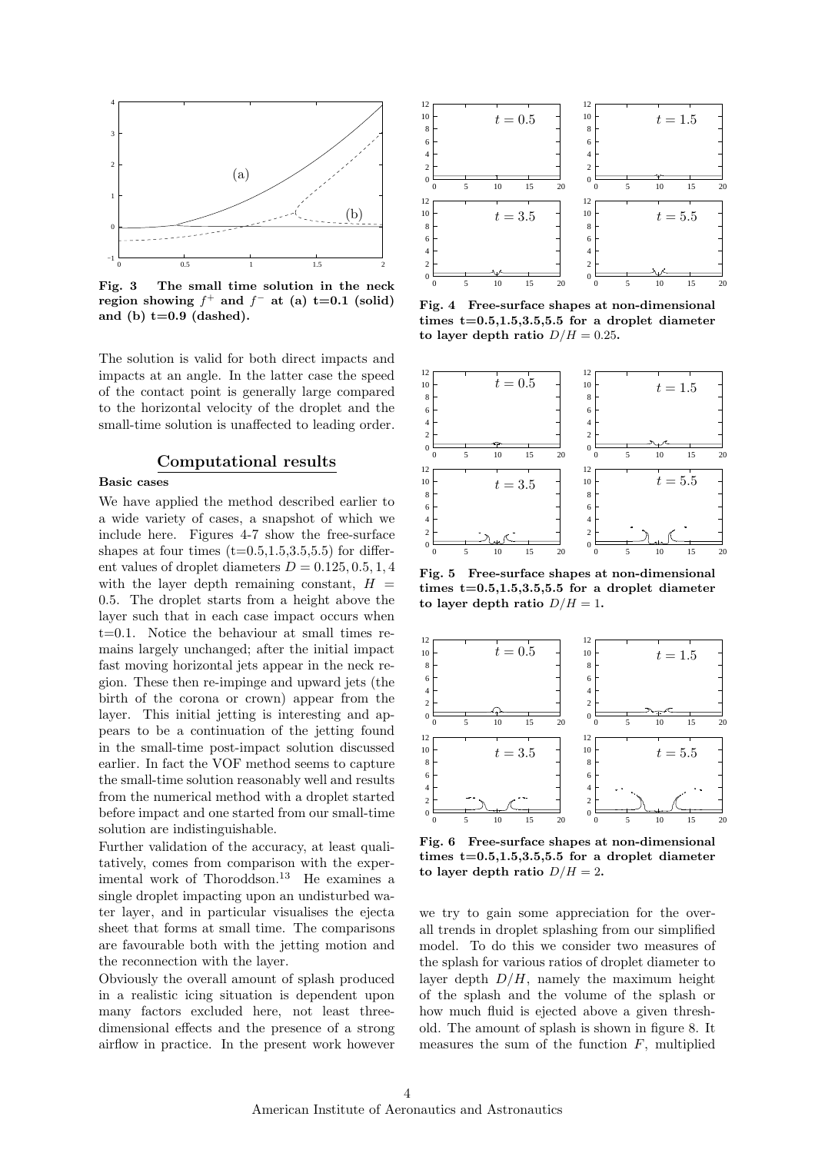

**Fig. 3 The small time solution in the neck region showing**  $f^+$  **and**  $f^-$  **at** (a) **t**=0.1 (solid) **and (b) t=0.9 (dashed).**

The solution is valid for both direct impacts and impacts at an angle. In the latter case the speed of the contact point is generally large compared to the horizontal velocity of the droplet and the small-time solution is unaffected to leading order.

# **Computational results**

#### **Basic cases**

We have applied the method described earlier to a wide variety of cases, a snapshot of which we include here. Figures 4-7 show the free-surface shapes at four times  $(t=0.5,1.5,3.5,5.5)$  for different values of droplet diameters  $D = 0.125, 0.5, 1, 4$ with the layer depth remaining constant,  $H =$ 0.5. The droplet starts from a height above the layer such that in each case impact occurs when t=0.1. Notice the behaviour at small times remains largely unchanged; after the initial impact fast moving horizontal jets appear in the neck region. These then re-impinge and upward jets (the birth of the corona or crown) appear from the layer. This initial jetting is interesting and appears to be a continuation of the jetting found in the small-time post-impact solution discussed earlier. In fact the VOF method seems to capture the small-time solution reasonably well and results from the numerical method with a droplet started before impact and one started from our small-time solution are indistinguishable.

Further validation of the accuracy, at least qualitatively, comes from comparison with the experimental work of Thoroddson.<sup>13</sup> He examines a single droplet impacting upon an undisturbed water layer, and in particular visualises the ejecta sheet that forms at small time. The comparisons are favourable both with the jetting motion and the reconnection with the layer.

Obviously the overall amount of splash produced in a realistic icing situation is dependent upon many factors excluded here, not least threedimensional effects and the presence of a strong airflow in practice. In the present work however



**Fig. 4 Free-surface shapes at non-dimensional times t=0.5,1.5,3.5,5.5 for a droplet diameter to layer depth ratio**  $D/H = 0.25$ **.** 



**Fig. 5 Free-surface shapes at non-dimensional times t=0.5,1.5,3.5,5.5 for a droplet diameter** to layer depth ratio  $D/H = 1$ .



**Fig. 6 Free-surface shapes at non-dimensional times t=0.5,1.5,3.5,5.5 for a droplet diameter** to layer depth ratio  $D/H = 2$ .

we try to gain some appreciation for the overall trends in droplet splashing from our simplified model. To do this we consider two measures of the splash for various ratios of droplet diameter to layer depth  $D/H$ , namely the maximum height of the splash and the volume of the splash or how much fluid is ejected above a given threshold. The amount of splash is shown in figure 8. It measures the sum of the function  $F$ , multiplied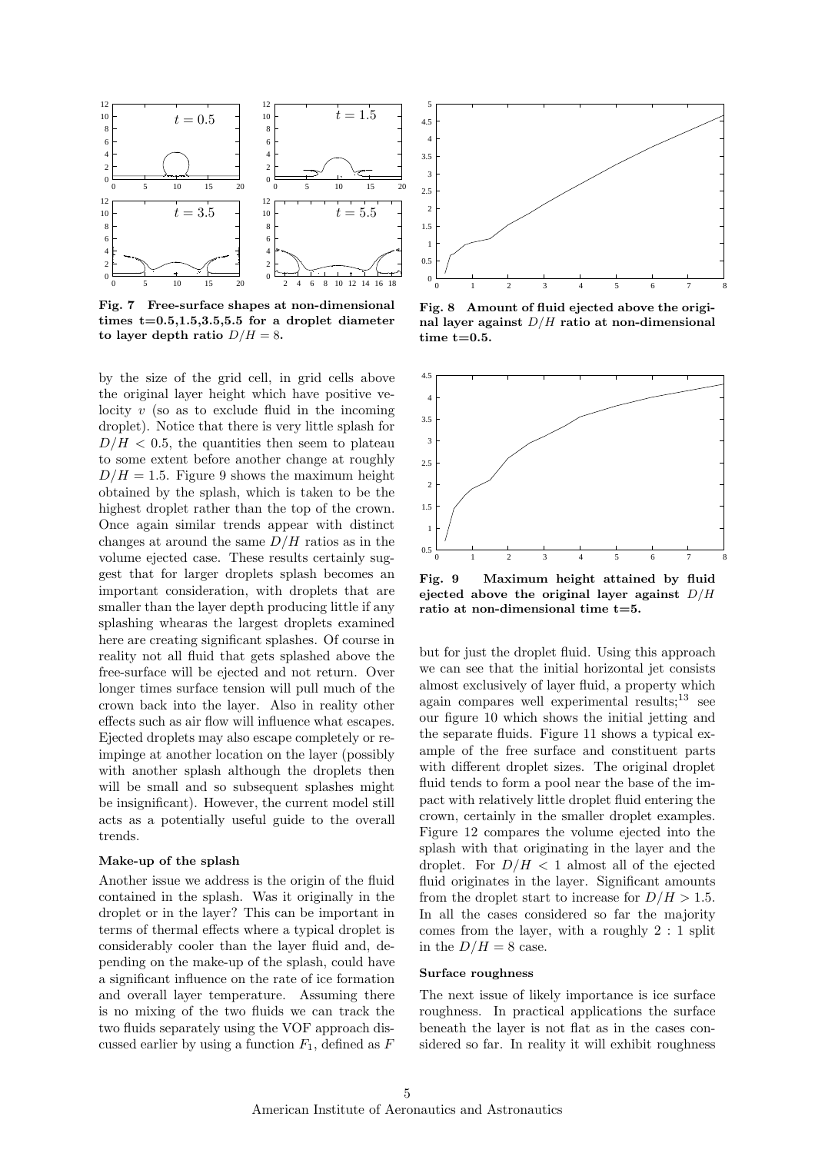

**Fig. 7 Free-surface shapes at non-dimensional times t=0.5,1.5,3.5,5.5 for a droplet diameter to layer depth ratio**  $D/H = 8$ **.** 

by the size of the grid cell, in grid cells above the original layer height which have positive velocity  $v$  (so as to exclude fluid in the incoming droplet). Notice that there is very little splash for  $D/H < 0.5$ , the quantities then seem to plateau to some extent before another change at roughly  $D/H = 1.5$ . Figure 9 shows the maximum height obtained by the splash, which is taken to be the highest droplet rather than the top of the crown. Once again similar trends appear with distinct changes at around the same  $D/H$  ratios as in the volume ejected case. These results certainly suggest that for larger droplets splash becomes an important consideration, with droplets that are smaller than the layer depth producing little if any splashing whearas the largest droplets examined here are creating significant splashes. Of course in reality not all fluid that gets splashed above the free-surface will be ejected and not return. Over longer times surface tension will pull much of the crown back into the layer. Also in reality other effects such as air flow will influence what escapes. Ejected droplets may also escape completely or reimpinge at another location on the layer (possibly with another splash although the droplets then will be small and so subsequent splashes might be insignificant). However, the current model still acts as a potentially useful guide to the overall trends.

## **Make-up of the splash**

Another issue we address is the origin of the fluid contained in the splash. Was it originally in the droplet or in the layer? This can be important in terms of thermal effects where a typical droplet is considerably cooler than the layer fluid and, depending on the make-up of the splash, could have a significant influence on the rate of ice formation and overall layer temperature. Assuming there is no mixing of the two fluids we can track the two fluids separately using the VOF approach discussed earlier by using a function  $F_1$ , defined as F



**Fig. 8 Amount of fluid ejected above the original layer against** D/H **ratio at non-dimensional time t=0.5.**



**ratio at non-dimensional time t=5.**

but for just the droplet fluid. Using this approach we can see that the initial horizontal jet consists almost exclusively of layer fluid, a property which again compares well experimental results; $^{13}$  see our figure 10 which shows the initial jetting and the separate fluids. Figure 11 shows a typical example of the free surface and constituent parts with different droplet sizes. The original droplet fluid tends to form a pool near the base of the impact with relatively little droplet fluid entering the crown, certainly in the smaller droplet examples. Figure 12 compares the volume ejected into the splash with that originating in the layer and the droplet. For  $D/H < 1$  almost all of the ejected fluid originates in the layer. Significant amounts from the droplet start to increase for  $D/H > 1.5$ . In all the cases considered so far the majority comes from the layer, with a roughly 2 : 1 split in the  $D/H = 8$  case.

### **Surface roughness**

The next issue of likely importance is ice surface roughness. In practical applications the surface beneath the layer is not flat as in the cases considered so far. In reality it will exhibit roughness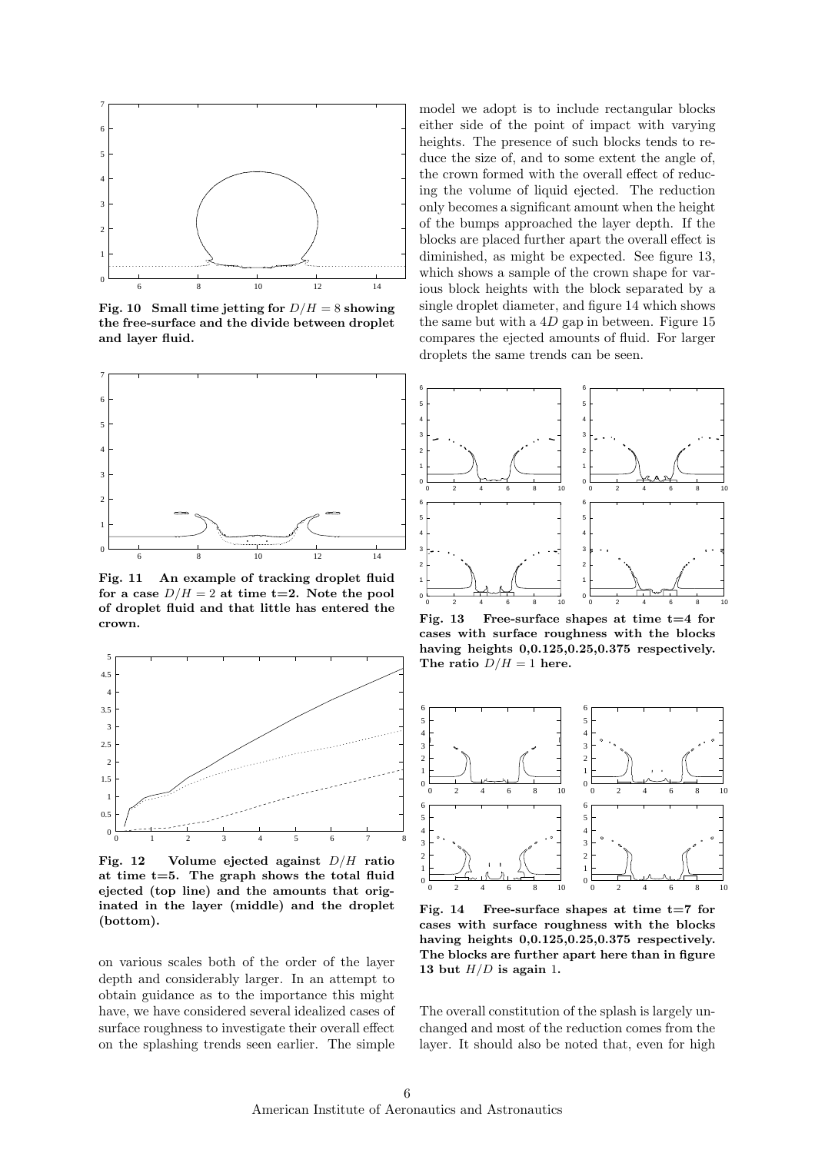

**Fig. 10** Small time jetting for  $D/H = 8$  showing **the free-surface and the divide between droplet and layer fluid.**



**Fig. 11 An example of tracking droplet fluid** for a case  $D/H = 2$  at time t=2. Note the pool **of droplet fluid and that little has entered the crown.**



**Fig. 12 Volume ejected against** D/H **ratio at time t=5. The graph shows the total fluid ejected (top line) and the amounts that originated in the layer (middle) and the droplet (bottom).**

on various scales both of the order of the layer depth and considerably larger. In an attempt to obtain guidance as to the importance this might have, we have considered several idealized cases of surface roughness to investigate their overall effect on the splashing trends seen earlier. The simple

model we adopt is to include rectangular blocks either side of the point of impact with varying heights. The presence of such blocks tends to reduce the size of, and to some extent the angle of, the crown formed with the overall effect of reducing the volume of liquid ejected. The reduction only becomes a significant amount when the height of the bumps approached the layer depth. If the blocks are placed further apart the overall effect is diminished, as might be expected. See figure 13, which shows a sample of the crown shape for various block heights with the block separated by a single droplet diameter, and figure 14 which shows the same but with a  $4D$  gap in between. Figure 15 compares the ejected amounts of fluid. For larger droplets the same trends can be seen.



**Fig. 13 Free-surface shapes at time t=4 for cases with surface roughness with the blocks having heights 0,0.125,0.25,0.375 respectively.** The ratio  $D/H = 1$  here.



**Fig. 14 Free-surface shapes at time t=7 for cases with surface roughness with the blocks having heights 0,0.125,0.25,0.375 respectively. The blocks are further apart here than in figure 13 but** H/D **is again** 1**.**

The overall constitution of the splash is largely unchanged and most of the reduction comes from the layer. It should also be noted that, even for high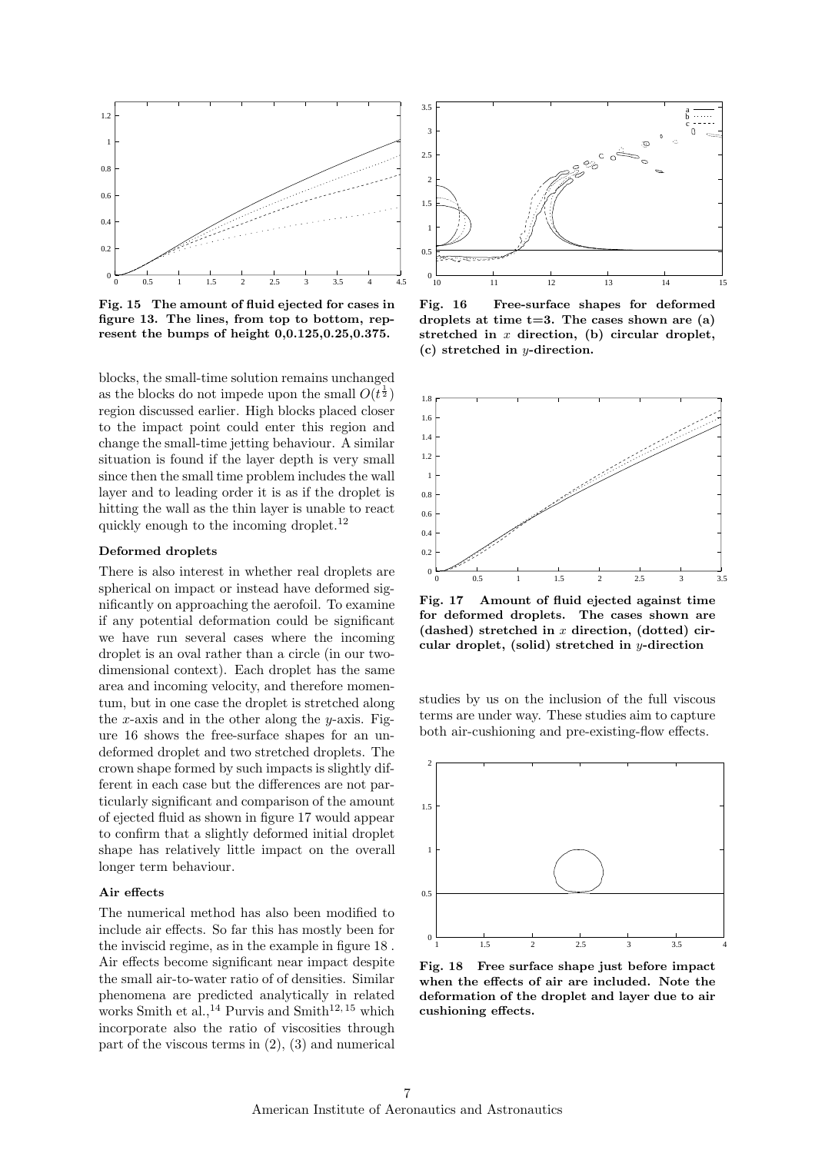

**Fig. 15 The amount of fluid ejected for cases in figure 13. The lines, from top to bottom, represent the bumps of height 0,0.125,0.25,0.375.**

blocks, the small-time solution remains unchanged as the blocks do not impede upon the small  $O(t^{\frac{1}{2}})$ region discussed earlier. High blocks placed closer to the impact point could enter this region and change the small-time jetting behaviour. A similar situation is found if the layer depth is very small since then the small time problem includes the wall layer and to leading order it is as if the droplet is hitting the wall as the thin layer is unable to react quickly enough to the incoming droplet.<sup>12</sup>

## **Deformed droplets**

There is also interest in whether real droplets are spherical on impact or instead have deformed significantly on approaching the aerofoil. To examine if any potential deformation could be significant we have run several cases where the incoming droplet is an oval rather than a circle (in our twodimensional context). Each droplet has the same area and incoming velocity, and therefore momentum, but in one case the droplet is stretched along the x-axis and in the other along the y-axis. Figure 16 shows the free-surface shapes for an undeformed droplet and two stretched droplets. The crown shape formed by such impacts is slightly different in each case but the differences are not particularly significant and comparison of the amount of ejected fluid as shown in figure 17 would appear to confirm that a slightly deformed initial droplet shape has relatively little impact on the overall longer term behaviour.

### **Air effects**

The numerical method has also been modified to include air effects. So far this has mostly been for the inviscid regime, as in the example in figure 18 . Air effects become significant near impact despite the small air-to-water ratio of of densities. Similar phenomena are predicted analytically in related works Smith et al.,<sup>14</sup> Purvis and Smith<sup>12, 15</sup> which incorporate also the ratio of viscosities through part of the viscous terms in (2), (3) and numerical



**Fig. 16 Free-surface shapes for deformed droplets at time t=3. The cases shown are (a) stretched in** x **direction, (b) circular droplet, (c) stretched in** y**-direction.**



**Fig. 17 Amount of fluid ejected against time for deformed droplets. The cases shown are (dashed) stretched in** x **direction, (dotted) circular droplet, (solid) stretched in** y**-direction**

studies by us on the inclusion of the full viscous terms are under way. These studies aim to capture both air-cushioning and pre-existing-flow effects.



**Fig. 18 Free surface shape just before impact when the effects of air are included. Note the deformation of the droplet and layer due to air cushioning effects.**